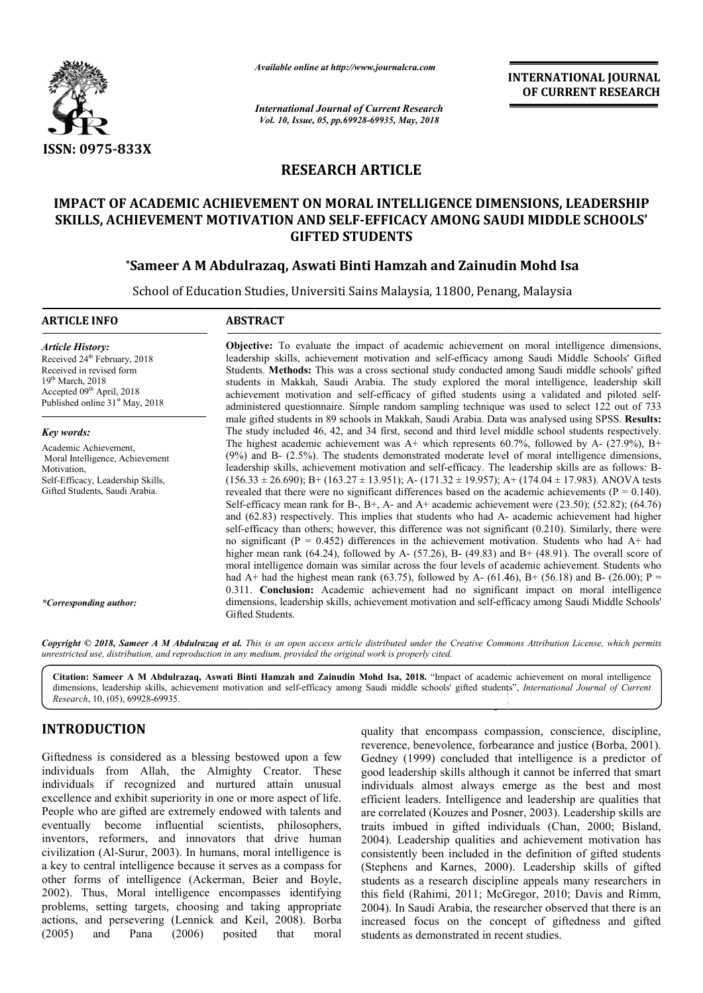

*Available online at http://www.journalcra.com*

*International Journal of Current Research Vol. 10, Issue, 05, pp.69928-69935, May, 2018*

**INTERNATIONAL JOURNAL OF CURRENT RESEARCH**

# **RESEARCH ARTICLE**

# IMPACT OF ACADEMIC ACHIEVEMENT ON MORAL INTELLIGENCE DIMENSIONS, LEADERSHIP<br>26 SKILLS, ACHIEVEMENT MOTIVATION AND SELF-EFFICACY AMONG SAUDI MIDDLE SCHOOLS<br><sup>2</sup> Sameer A M Abdulrazaq, Aswati Binti Hamzah and Zainudin Mohd Is **SKILLS, ACHIEVEMENT MOTIVATION AND SELF SELF-EFFICACY AMONG SAUDI MIDDLE SCHOOLS' GIFTED STUDENTS**

### **\*Sameer A M Abdulrazaq, Aswati Binti Hamzah and Zainudin Mohd Isa**

School of Education Studies, Universiti Sains Malaysia, 11800, Penang, Malaysia

#### **ARTICLE INFO ABSTRACT**

*Article History:* Received 24<sup>th</sup> February, 2018 Received in revised form 19th March, 2018 Accepted 09<sup>th</sup> April, 2018 Published online 31<sup>st</sup> May, 2018

*Key words:* Academic Achievement, Moral Intelligence, Achievement Motivation, Self-Efficacy, Leadership Skills, Gifted Students, Saudi Arabia.

Students. **Methods:** This was a cross sectional study conducted among Saudi middle schools' gifted students in Makkah, Saudi Arabia. The study explored the moral intelligence, leadership skill achievement motivation and self-efficacy of gifted students using a validated and piloted self administered questionnaire. Simple random sampling technique was used to select 122 out of 733 administered questionnaire. Simple random sampling technique was used to select 122 out of 733 male gifted students in 89 schools in Makkah, Saudi Arabia. Data was analysed using SPSS. Results: The study included 46, 42, and 34 first, second and third level middle school students respectively. The study included 46, 42, and 34 first, second and third level middle school students respectively.<br>The highest academic achievement was  $A+$  which represents 60.7%, followed by  $A-$  (27.9%),  $B+$ (9%) and B B- (2.5%). The students demonstrated moderate level of moral intelligence dimensions, leadership skills, achievement motivation and self-efficacy. The leadership skills are as follows: B- $(156.33 \pm 26.690)$ ; B+  $(163.27 \pm 13.951)$ ; A-  $(171.32 \pm 19.957)$ ; A+  $(174.04 \pm 17.983)$ . ANOVA tests revealed that there were no significant differences based on the academic achievements ( $P = 0.140$ ). Self-efficacy mean rank for B-, B+, A- and A+ academic achievement were  $(23.50)$ ;  $(52.82)$ ;  $(64.76)$ and (62.83) respectively. This implies that students who had A Aself-efficacy than others; however, this difference was not significant (0.210). Similarly, there were no significant ( $P = 0.452$ ) differences in the achievement motivation. Students who had A+ had higher mean rank  $(64.24)$ , followed by A- $(57.26)$ , B- $(49.83)$  and B+ $(48.91)$ . The overall score of moral intelligence domain was similar across the four levels of academic achievement. Students who had A+ had the highest mean rank (63.75), followed by A- (61.46), B+ (56.18) and B 0.311. **Conclusion:** Academic achievement had no significant impact on moral intelligence 0.311. **Conclusion:** Academic achievement had no significant impact on moral intelligence dimensions, leadership skills, achievement motivation and self-efficacy among Saudi Middle Schools' Gifted Students. self-efficacy than others; however, this difference was not significant (0.210). Similarly, there were no significant ( $P = 0.452$ ) differences in the achievement motivation. Students who had  $A+$  had higher mean rank (64. te the impact of academic achievement on moral intelligence dimensions,<br>evement motivation and self-efficacy among Saudi Middle Schools' Gifted<br>nis was a cross sectional study conducted among Saudi middle schools' gifted<br>S  $(163.27 \pm 13.951)$ ; A- $(171.32 \pm 19.957)$ ; A+ $(174.04 \pm 17.983)$ . ANOVA tests re no significant differences based on the academic achievements (P = 0.140).<br>In for B-, B+, A- and A+ academic achievement were (23.50); (52. **INTERNATIONAL JOURNAL FORMATION (CONVERT)**<br>
Seemech **OF CURRENT RESEARCH**<br>
1 **OF CURRENT RESEARCH**<br>
1 **OF CURRENT RESEARCH**<br>
1 **OF CURRENT RESEARCH**<br>
LELIGENCE DIMENSIONS, LEADERSHIP<br>
S<br>
Salt And Zainudin Mohd Isa<br>
1 **CC** 

**Objective:**  To evaluate the impact of academic achievement on moral intelligence dimensions, leadership skills, achievement motivation and self-efficacy among Saudi Middle Schools' Gifted

Copyright © 2018, Sameer A M Abdulrazaq et al. This is an open access article distributed under the Creative Commons Attribution License, which permits *unrestricted use, distribution, and reproduction in any medium, provided the original work is properly cited.*

Citation: Sameer A M Abdulrazaq, Aswati Binti Hamzah and Zainudin Mohd Isa, 2018. "Impact of academic achievement on moral intelligence Citation: Sameer A M Abdulrazaq, Aswati Binti Hamzah and Zainudin Mohd Isa, 2018. "Impact of academic achievement on moral intelligence<br>dimensions, leadership skills, achievement motivation and self-efficacy among Saudi mi *Research*, 10, (05), 69928-69935. students. Good moral intelligence is described as a desirable

# **INTRODUCTION**

*\*Corresponding author:*

Giftedness is considered as a blessing bestowed upon a few individuals from Allah, the Almighty Creator. These individuals if recognized and nurtured attain unusual excellence and exhibit superiority in one or more aspect of life. People who are gifted are extremely endowed with talents and eventually become influential scientists, philosophers, inventors, reformers, and innovators that drive human civilization (Al-Surur, 2003). In humans, moral intelligence is a key to central intelligence because it serves as a compass for other forms of intelligence (Ackerman, Beier and Boyle, 2002). Thus, Moral intelligence encompasses identifying problems, setting targets, choosing and taking appropriate actions, and persevering (Lennick and Keil, 2008). Borba (2005) and Pana (2006) posited that moral

quality that encompass compassion, conscience, discipline, reverence, benevolence, forbearance and justice (Borba, 2001). Gedney (1999) concluded that intelligence is a predictor of good leadership skills although it cannot be inferred that smart individuals almost always emerge as the best and most efficient leaders. Intelligence and leadership are qualities that are correlated (Kouzes and Posner, 2003). Leadership skills are traits imbued in gifted individuals (Chan, 2000; Bisland, 2004). Leadership qualities and achievement motivation has consistently been included in the definition of gifted students (Stephens and Karnes, 2000). Leadership skills of gifted students as a research discipline appeals many researchers in this field (Rahimi, 2011; McGregor, 2010; Davis and Rimm, 2004). In Saudi Arabia, the researcher observed that there is an increased focus on the concept of giftedness and gifted students as demonstrated in recent studies. Saudi middle schools' gitted students", *International Journal of Current*<br>quality that encompass compassion, conscience, discipline,<br>reverence, benevolence, forbearance and justice (Borba, 2001).<br>Gedney (1999) concluded t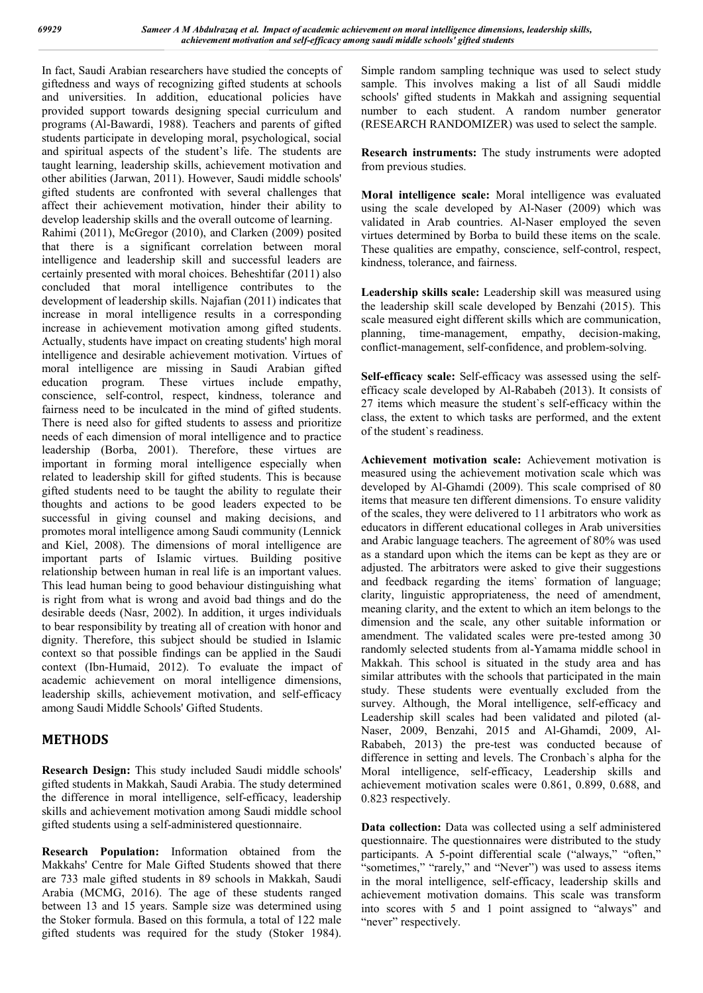In fact, Saudi Arabian researchers have studied the concepts of giftedness and ways of recognizing gifted students at schools and universities. In addition, educational policies have provided support towards designing special curriculum and programs (Al-Bawardi, 1988). Teachers and parents of gifted students participate in developing moral, psychological, social and spiritual aspects of the student's life. The students are taught learning, leadership skills, achievement motivation and other abilities (Jarwan, 2011). However, Saudi middle schools' gifted students are confronted with several challenges that affect their achievement motivation, hinder their ability to develop leadership skills and the overall outcome of learning. Rahimi (2011), McGregor (2010), and Clarken (2009) posited that there is a significant correlation between moral intelligence and leadership skill and successful leaders are certainly presented with moral choices. Beheshtifar (2011) also concluded that moral intelligence contributes to the development of leadership skills. Najafian (2011) indicates that increase in moral intelligence results in a corresponding increase in achievement motivation among gifted students. Actually, students have impact on creating students' high moral intelligence and desirable achievement motivation. Virtues of moral intelligence are missing in Saudi Arabian gifted education program. These virtues include empathy, conscience, self-control, respect, kindness, tolerance and fairness need to be inculcated in the mind of gifted students. There is need also for gifted students to assess and prioritize needs of each dimension of moral intelligence and to practice leadership (Borba, 2001). Therefore, these virtues are important in forming moral intelligence especially when related to leadership skill for gifted students. This is because gifted students need to be taught the ability to regulate their thoughts and actions to be good leaders expected to be successful in giving counsel and making decisions, and promotes moral intelligence among Saudi community (Lennick and Kiel, 2008). The dimensions of moral intelligence are important parts of Islamic virtues. Building positive relationship between human in real life is an important values. This lead human being to good behaviour distinguishing what is right from what is wrong and avoid bad things and do the desirable deeds (Nasr, 2002). In addition, it urges individuals to bear responsibility by treating all of creation with honor and dignity. Therefore, this subject should be studied in Islamic context so that possible findings can be applied in the Saudi context (Ibn-Humaid, 2012). To evaluate the impact of academic achievement on moral intelligence dimensions, leadership skills, achievement motivation, and self-efficacy among Saudi Middle Schools' Gifted Students.

# **METHODS**

**Research Design:** This study included Saudi middle schools' gifted students in Makkah, Saudi Arabia. The study determined the difference in moral intelligence, self-efficacy, leadership skills and achievement motivation among Saudi middle school gifted students using a self-administered questionnaire.

**Research Population:** Information obtained from the Makkahs' Centre for Male Gifted Students showed that there are 733 male gifted students in 89 schools in Makkah, Saudi Arabia (MCMG, 2016). The age of these students ranged between 13 and 15 years. Sample size was determined using the Stoker formula. Based on this formula, a total of 122 male gifted students was required for the study (Stoker 1984).

Simple random sampling technique was used to select study sample. This involves making a list of all Saudi middle schools' gifted students in Makkah and assigning sequential number to each student. A random number generator (RESEARCH RANDOMIZER) was used to select the sample.

**Research instruments:** The study instruments were adopted from previous studies.

**Moral intelligence scale:** Moral intelligence was evaluated using the scale developed by Al-Naser (2009) which was validated in Arab countries. Al-Naser employed the seven virtues determined by Borba to build these items on the scale. These qualities are empathy, conscience, self-control, respect, kindness, tolerance, and fairness.

**Leadership skills scale:** Leadership skill was measured using the leadership skill scale developed by Benzahi (2015). This scale measured eight different skills which are communication, planning, time-management, empathy, decision-making, conflict-management, self-confidence, and problem-solving.

**Self-efficacy scale:** Self-efficacy was assessed using the selfefficacy scale developed by Al-Rababeh (2013). It consists of 27 items which measure the student`s self-efficacy within the class, the extent to which tasks are performed, and the extent of the student`s readiness.

**Achievement motivation scale:** Achievement motivation is measured using the achievement motivation scale which was developed by Al-Ghamdi (2009). This scale comprised of 80 items that measure ten different dimensions. To ensure validity of the scales, they were delivered to 11 arbitrators who work as educators in different educational colleges in Arab universities and Arabic language teachers. The agreement of 80% was used as a standard upon which the items can be kept as they are or adjusted. The arbitrators were asked to give their suggestions and feedback regarding the items` formation of language; clarity, linguistic appropriateness, the need of amendment, meaning clarity, and the extent to which an item belongs to the dimension and the scale, any other suitable information or amendment. The validated scales were pre-tested among 30 randomly selected students from al-Yamama middle school in Makkah. This school is situated in the study area and has similar attributes with the schools that participated in the main study. These students were eventually excluded from the survey. Although, the Moral intelligence, self-efficacy and Leadership skill scales had been validated and piloted (al-Naser, 2009, Benzahi, 2015 and Al-Ghamdi, 2009, Al-Rababeh, 2013) the pre-test was conducted because of difference in setting and levels. The Cronbach`s alpha for the Moral intelligence, self-efficacy, Leadership skills and achievement motivation scales were 0.861, 0.899, 0.688, and 0.823 respectively.

**Data collection:** Data was collected using a self administered questionnaire. The questionnaires were distributed to the study participants. A 5-point differential scale ("always," "often," "sometimes," "rarely," and "Never") was used to assess items in the moral intelligence, self-efficacy, leadership skills and achievement motivation domains. This scale was transform into scores with 5 and 1 point assigned to "always" and "never" respectively.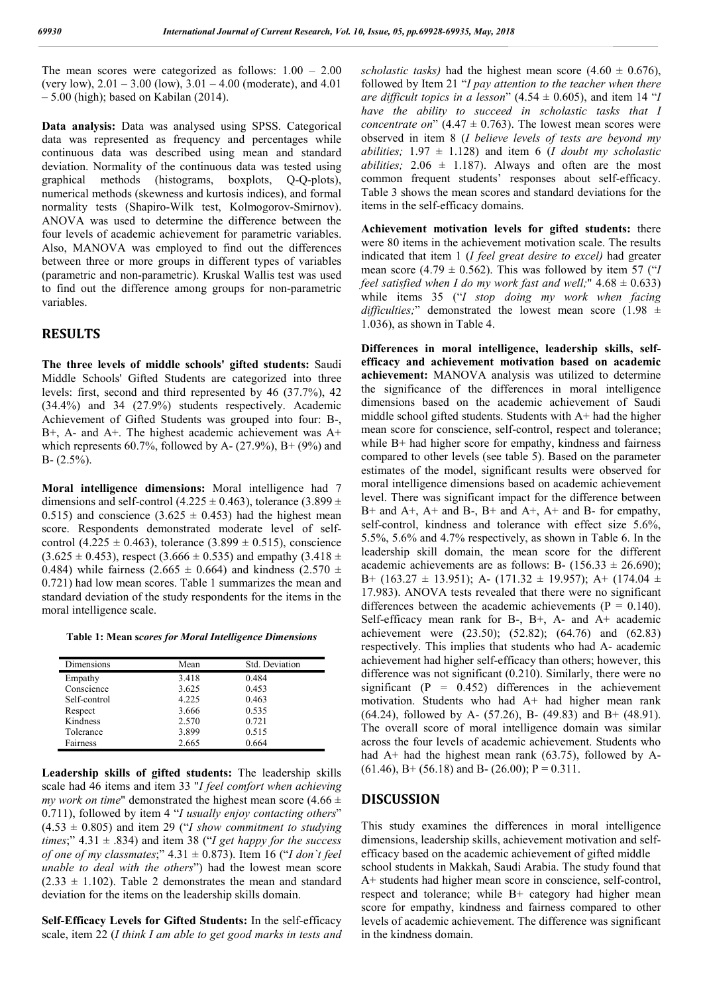The mean scores were categorized as follows: 1.00 – 2.00 (very low),  $2.01 - 3.00$  (low),  $3.01 - 4.00$  (moderate), and  $4.01$ – 5.00 (high); based on Kabilan (2014).

**Data analysis:** Data was analysed using SPSS. Categorical data was represented as frequency and percentages while continuous data was described using mean and standard deviation. Normality of the continuous data was tested using graphical methods (histograms, boxplots, Q-Q-plots), numerical methods (skewness and kurtosis indices), and formal normality tests (Shapiro-Wilk test, Kolmogorov-Smirnov). ANOVA was used to determine the difference between the four levels of academic achievement for parametric variables. Also, MANOVA was employed to find out the differences between three or more groups in different types of variables (parametric and non-parametric). Kruskal Wallis test was used to find out the difference among groups for non-parametric variables.

#### **RESULTS**

**The three levels of middle schools' gifted students:** Saudi Middle Schools' Gifted Students are categorized into three levels: first, second and third represented by 46 (37.7%), 42 (34.4%) and 34 (27.9%) students respectively. Academic Achievement of Gifted Students was grouped into four: B-, B+, A- and A+. The highest academic achievement was A+ which represents 60.7%, followed by A-  $(27.9\%)$ , B+  $(9\%)$  and  $B - (2.5\%)$ .

**Moral intelligence dimensions:** Moral intelligence had 7 dimensions and self-control (4.225  $\pm$  0.463), tolerance (3.899  $\pm$ 0.515) and conscience  $(3.625 \pm 0.453)$  had the highest mean score. Respondents demonstrated moderate level of selfcontrol (4.225  $\pm$  0.463), tolerance (3.899  $\pm$  0.515), conscience  $(3.625 \pm 0.453)$ , respect  $(3.666 \pm 0.535)$  and empathy  $(3.418 \pm 0.453)$ 0.484) while fairness (2.665  $\pm$  0.664) and kindness (2.570  $\pm$ 0.721) had low mean scores. Table 1 summarizes the mean and standard deviation of the study respondents for the items in the moral intelligence scale.

**Table 1: Mean s***cores for Moral Intelligence Dimensions*

| Dimensions   | Mean  | Std. Deviation |
|--------------|-------|----------------|
| Empathy      | 3.418 | 0.484          |
| Conscience   | 3.625 | 0.453          |
| Self-control | 4.225 | 0.463          |
| Respect      | 3.666 | 0.535          |
| Kindness     | 2.570 | 0.721          |
| Tolerance    | 3.899 | 0.515          |
| Fairness     | 2.665 | 0.664          |

**Leadership skills of gifted students:** The leadership skills scale had 46 items and item 33 "*I feel comfort when achieving my work on time*" demonstrated the highest mean score  $(4.66 \pm$ 0.711), followed by item 4 "*I usually enjoy contacting others*"  $(4.53 \pm 0.805)$  and item 29 ("*I show commitment to studying times*;"  $4.31 \pm .834$ ) and item 38 ("*I get happy for the success of one of my classmates*;" 4.31 ± 0.873). Item 16 ("*I don`t feel unable to deal with the others*") had the lowest mean score  $(2.33 \pm 1.102)$ . Table 2 demonstrates the mean and standard deviation for the items on the leadership skills domain.

**Self-Efficacy Levels for Gifted Students:** In the self-efficacy scale, item 22 (*I think I am able to get good marks in tests and*  *scholastic tasks*) had the highest mean score  $(4.60 \pm 0.676)$ , followed by Item 21 "*I pay attention to the teacher when there are difficult topics in a lesson*"  $(4.54 \pm 0.605)$ , and item 14 "*I have the ability to succeed in scholastic tasks that I concentrate on*"  $(4.47 \pm 0.763)$ . The lowest mean scores were observed in item 8 (*I believe levels of tests are beyond my abilities;*  $1.97 \pm 1.128$  and item 6 (*I doubt my scholastic abilities:*  $2.06 \pm 1.187$ . Always and often are the most common frequent students' responses about self-efficacy. Table 3 shows the mean scores and standard deviations for the items in the self-efficacy domains.

**Achievement motivation levels for gifted students:** there were 80 items in the achievement motivation scale. The results indicated that item 1 (*I feel great desire to excel)* had greater mean score (4.79  $\pm$  0.562). This was followed by item 57 ("*I feel satisfied when I do my work fast and well;*" 4.68 ± 0.633) while items 35 ("*I stop doing my work when facing difficulties;*" demonstrated the lowest mean score (1.98 ± 1.036), as shown in Table 4.

**Differences in moral intelligence, leadership skills, selfefficacy and achievement motivation based on academic achievement:** MANOVA analysis was utilized to determine the significance of the differences in moral intelligence dimensions based on the academic achievement of Saudi middle school gifted students. Students with A+ had the higher mean score for conscience, self-control, respect and tolerance; while B<sup>+</sup> had higher score for empathy, kindness and fairness compared to other levels (see table 5). Based on the parameter estimates of the model, significant results were observed for moral intelligence dimensions based on academic achievement level. There was significant impact for the difference between  $B+$  and  $A+$ ,  $A+$  and  $B-$ ,  $B+$  and  $A+$ ,  $A+$  and  $B-$  for empathy, self-control, kindness and tolerance with effect size 5.6%, 5.5%, 5.6% and 4.7% respectively, as shown in Table 6. In the leadership skill domain, the mean score for the different academic achievements are as follows: B-  $(156.33 \pm 26.690)$ ; B+ (163.27  $\pm$  13.951); A- (171.32  $\pm$  19.957); A+ (174.04  $\pm$ 17.983). ANOVA tests revealed that there were no significant differences between the academic achievements ( $P = 0.140$ ). Self-efficacy mean rank for B-, B+, A- and A+ academic achievement were (23.50); (52.82); (64.76) and (62.83) respectively. This implies that students who had A- academic achievement had higher self-efficacy than others; however, this difference was not significant (0.210). Similarly, there were no significant ( $P = 0.452$ ) differences in the achievement motivation. Students who had A+ had higher mean rank (64.24), followed by A- (57.26), B- (49.83) and B+ (48.91). The overall score of moral intelligence domain was similar across the four levels of academic achievement. Students who had A+ had the highest mean rank (63.75), followed by A- $(61.46)$ , B+  $(56.18)$  and B-  $(26.00)$ ; P = 0.311.

#### **DISCUSSION**

This study examines the differences in moral intelligence dimensions, leadership skills, achievement motivation and selfefficacy based on the academic achievement of gifted middle school students in Makkah, Saudi Arabia. The study found that A+ students had higher mean score in conscience, self-control, respect and tolerance; while B+ category had higher mean score for empathy, kindness and fairness compared to other levels of academic achievement. The difference was significant in the kindness domain.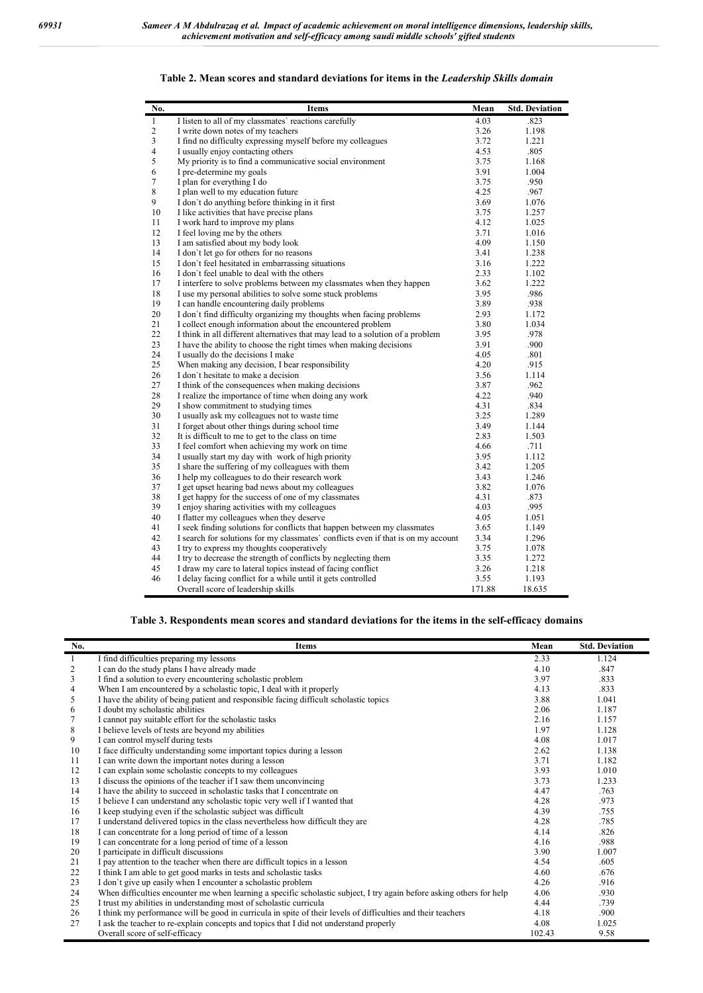| No.                     | <b>Items</b>                                                                      | Mean   | <b>Std. Deviation</b> |
|-------------------------|-----------------------------------------------------------------------------------|--------|-----------------------|
| 1                       | I listen to all of my classmates' reactions carefully                             | 4.03   | .823                  |
| $\overline{c}$          | I write down notes of my teachers                                                 | 3.26   | 1.198                 |
| $\overline{\mathbf{3}}$ | I find no difficulty expressing myself before my colleagues                       | 3.72   | 1.221                 |
| $\overline{4}$          | I usually enjoy contacting others                                                 | 4.53   | .805                  |
| 5                       | My priority is to find a communicative social environment                         | 3.75   | 1.168                 |
| 6                       | I pre-determine my goals                                                          | 3.91   | 1.004                 |
| 7                       | I plan for everything I do                                                        | 3.75   | .950                  |
| 8                       | I plan well to my education future                                                | 4.25   | .967                  |
| 9                       | I don't do anything before thinking in it first                                   | 3.69   | 1.076                 |
| 10                      | I like activities that have precise plans                                         | 3.75   | 1.257                 |
| 11                      | I work hard to improve my plans                                                   | 4.12   | 1.025                 |
| 12                      | I feel loving me by the others                                                    | 3.71   | 1.016                 |
| 13                      | I am satisfied about my body look                                                 | 4.09   | 1.150                 |
| 14                      | I don't let go for others for no reasons                                          | 3.41   | 1.238                 |
| 15                      | I don't feel hesitated in embarrassing situations                                 | 3.16   | 1.222                 |
| 16                      | I don't feel unable to deal with the others                                       | 2.33   | 1.102                 |
| 17                      | I interfere to solve problems between my classmates when they happen              | 3.62   | 1.222                 |
| 18                      | I use my personal abilities to solve some stuck problems                          | 3.95   | .986                  |
| 19                      | I can handle encountering daily problems                                          | 3.89   | .938                  |
| 20                      | I don't find difficulty organizing my thoughts when facing problems               | 2.93   | 1.172                 |
| 21                      | I collect enough information about the encountered problem                        | 3.80   | 1.034                 |
| 22                      | I think in all different alternatives that may lead to a solution of a problem    | 3.95   | .978                  |
| 23                      | I have the ability to choose the right times when making decisions                | 3.91   | .900                  |
| 24                      | I usually do the decisions I make                                                 | 4.05   | .801                  |
| 25                      | When making any decision, I bear responsibility                                   | 4.20   | .915                  |
| 26                      | I don't hesitate to make a decision                                               | 3.56   | 1.114                 |
| 27                      | I think of the consequences when making decisions                                 | 3.87   | .962                  |
| 28                      | I realize the importance of time when doing any work                              | 4.22   | .940                  |
| 29                      | I show commitment to studying times                                               | 4.31   | .834                  |
| 30                      | I usually ask my colleagues not to waste time                                     | 3.25   | 1.289                 |
| 31                      | I forget about other things during school time                                    | 3.49   | 1.144                 |
| 32                      | It is difficult to me to get to the class on time                                 | 2.83   | 1.503                 |
| 33                      | I feel comfort when achieving my work on time                                     | 4.66   | .711                  |
| 34                      | I usually start my day with work of high priority                                 | 3.95   | 1.112                 |
| 35                      | I share the suffering of my colleagues with them                                  | 3.42   | 1.205                 |
| 36                      | I help my colleagues to do their research work                                    | 3.43   | 1.246                 |
| 37                      | I get upset hearing bad news about my colleagues                                  | 3.82   | 1.076                 |
| 38                      | I get happy for the success of one of my classmates                               | 4.31   | .873                  |
| 39                      | I enjoy sharing activities with my colleagues                                     | 4.03   | .995                  |
| 40                      | I flatter my colleagues when they deserve                                         | 4.05   | 1.051                 |
| 41                      | I seek finding solutions for conflicts that happen between my classmates          | 3.65   | 1.149                 |
| 42                      | I search for solutions for my classmates' conflicts even if that is on my account | 3.34   | 1.296                 |
| 43                      | I try to express my thoughts cooperatively                                        | 3.75   | 1.078                 |
| 44                      | I try to decrease the strength of conflicts by neglecting them                    | 3.35   | 1.272                 |
| 45                      | I draw my care to lateral topics instead of facing conflict                       | 3.26   | 1.218                 |
| 46                      | I delay facing conflict for a while until it gets controlled                      | 3.55   | 1.193                 |
|                         | Overall score of leadership skills                                                | 171.88 | 18.635                |

**Table 2. Mean scores and standard deviations for items in the** *Leadership Skills domain*

**Table 3. Respondents mean scores and standard deviations for the items in the self-efficacy domains**

| No. | <b>Items</b>                                                                                                          | Mean   | <b>Std. Deviation</b> |
|-----|-----------------------------------------------------------------------------------------------------------------------|--------|-----------------------|
| 1   | I find difficulties preparing my lessons                                                                              | 2.33   | 1.124                 |
| 2   | I can do the study plans I have already made                                                                          | 4.10   | .847                  |
| 3   | I find a solution to every encountering scholastic problem                                                            | 3.97   | .833                  |
| 4   | When I am encountered by a scholastic topic, I deal with it properly                                                  | 4.13   | .833                  |
| 5   | I have the ability of being patient and responsible facing difficult scholastic topics                                | 3.88   | 1.041                 |
| 6   | I doubt my scholastic abilities                                                                                       | 2.06   | 1.187                 |
| 7   | I cannot pay suitable effort for the scholastic tasks                                                                 | 2.16   | 1.157                 |
| 8   | I believe levels of tests are beyond my abilities                                                                     | 1.97   | 1.128                 |
| 9   | I can control myself during tests                                                                                     | 4.08   | 1.017                 |
| 10  | I face difficulty understanding some important topics during a lesson                                                 | 2.62   | 1.138                 |
| 11  | I can write down the important notes during a lesson                                                                  | 3.71   | 1.182                 |
| 12  | I can explain some scholastic concepts to my colleagues                                                               | 3.93   | 1.010                 |
| 13  | I discuss the opinions of the teacher if I saw them unconvincing                                                      | 3.73   | 1.233                 |
| 14  | I have the ability to succeed in scholastic tasks that I concentrate on                                               | 4.47   | .763                  |
| 15  | I believe I can understand any scholastic topic very well if I wanted that                                            | 4.28   | .973                  |
| 16  | I keep studying even if the scholastic subject was difficult                                                          | 4.39   | .755                  |
| 17  | I understand delivered topics in the class nevertheless how difficult they are                                        | 4.28   | .785                  |
| 18  | I can concentrate for a long period of time of a lesson                                                               | 4.14   | .826                  |
| 19  | I can concentrate for a long period of time of a lesson                                                               | 4.16   | .988                  |
| 20  | I participate in difficult discussions                                                                                | 3.90   | 1.007                 |
| 21  | I pay attention to the teacher when there are difficult topics in a lesson                                            | 4.54   | .605                  |
| 22  | I think I am able to get good marks in tests and scholastic tasks                                                     | 4.60   | .676                  |
| 23  | I don't give up easily when I encounter a scholastic problem                                                          | 4.26   | .916                  |
| 24  | When difficulties encounter me when learning a specific scholastic subject, I try again before asking others for help | 4.06   | .930                  |
| 25  | I trust my abilities in understanding most of scholastic curricula                                                    | 4.44   | .739                  |
| 26  | I think my performance will be good in curricula in spite of their levels of difficulties and their teachers          | 4.18   | .900                  |
| 27  | I ask the teacher to re-explain concepts and topics that I did not understand properly                                | 4.08   | 1.025                 |
|     | Overall score of self-efficacy                                                                                        | 102.43 | 9.58                  |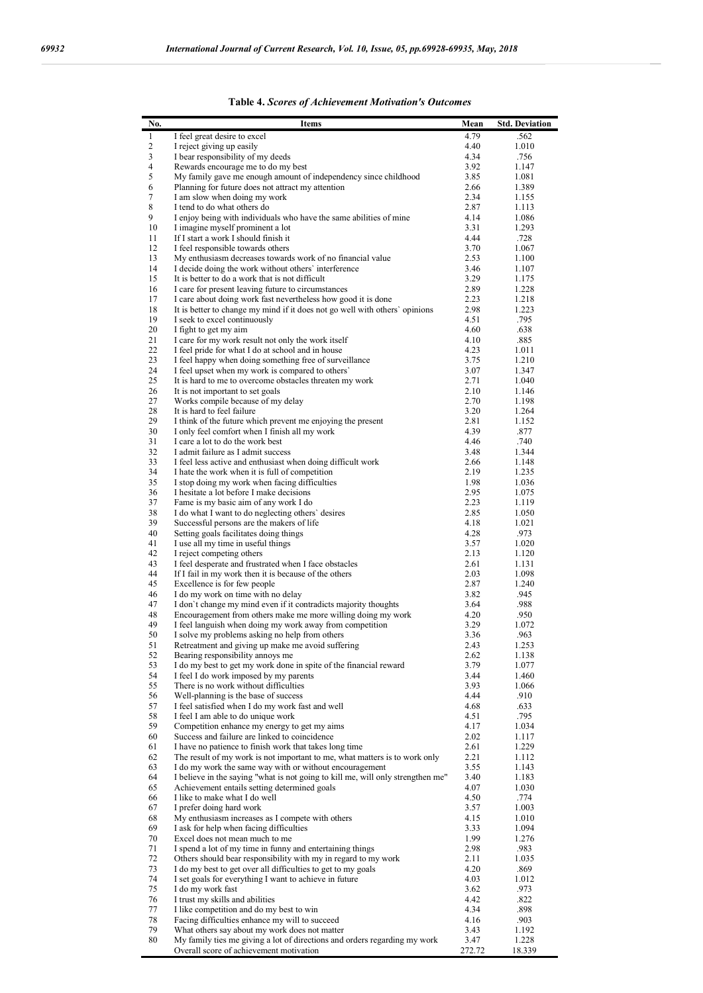| No.              | <b>Items</b>                                                                                                                         | Mean         | <b>Std. Deviation</b> |
|------------------|--------------------------------------------------------------------------------------------------------------------------------------|--------------|-----------------------|
| 1                | I feel great desire to excel                                                                                                         | 4.79         | .562                  |
| $\overline{c}$   | I reject giving up easily                                                                                                            | 4.40         | 1.010                 |
| 3<br>4           | I bear responsibility of my deeds<br>Rewards encourage me to do my best                                                              | 4.34<br>3.92 | .756<br>1.147         |
| 5                | My family gave me enough amount of independency since childhood                                                                      | 3.85         | 1.081                 |
| 6                | Planning for future does not attract my attention                                                                                    | 2.66         | 1.389                 |
| $\boldsymbol{7}$ | I am slow when doing my work                                                                                                         | 2.34         | 1.155                 |
| $\,$ 8 $\,$<br>9 | I tend to do what others do<br>I enjoy being with individuals who have the same abilities of mine                                    | 2.87<br>4.14 | 1.113<br>1.086        |
| 10               | I imagine myself prominent a lot                                                                                                     | 3.31         | 1.293                 |
| 11               | If I start a work I should finish it                                                                                                 | 4.44         | .728                  |
| 12               | I feel responsible towards others                                                                                                    | 3.70         | 1.067                 |
| 13<br>14         | My enthusiasm decreases towards work of no financial value<br>I decide doing the work without others' interference                   | 2.53<br>3.46 | 1.100<br>1.107        |
| 15               | It is better to do a work that is not difficult                                                                                      | 3.29         | 1.175                 |
| 16               | I care for present leaving future to circumstances                                                                                   | 2.89         | 1.228                 |
| 17               | I care about doing work fast nevertheless how good it is done                                                                        | 2.23         | 1.218                 |
| 18               | It is better to change my mind if it does not go well with others' opinions                                                          | 2.98         | 1.223                 |
| 19<br>20         | I seek to excel continuously<br>I fight to get my aim                                                                                | 4.51<br>4.60 | .795<br>.638          |
| 21               | I care for my work result not only the work itself                                                                                   | 4.10         | .885                  |
| 22               | I feel pride for what I do at school and in house                                                                                    | 4.23         | 1.011                 |
| 23               | I feel happy when doing something free of surveillance                                                                               | 3.75         | 1.210                 |
| 24<br>25         | I feel upset when my work is compared to others'<br>It is hard to me to overcome obstacles threaten my work                          | 3.07<br>2.71 | 1.347<br>1.040        |
| 26               | It is not important to set goals                                                                                                     | 2.10         | 1.146                 |
| 27               | Works compile because of my delay                                                                                                    | 2.70         | 1.198                 |
| 28               | It is hard to feel failure                                                                                                           | 3.20         | 1.264                 |
| 29               | I think of the future which prevent me enjoying the present                                                                          | 2.81         | 1.152                 |
| 30<br>31         | I only feel comfort when I finish all my work<br>I care a lot to do the work best                                                    | 4.39<br>4.46 | .877<br>.740          |
| 32               | I admit failure as I admit success                                                                                                   | 3.48         | 1.344                 |
| 33               | I feel less active and enthusiast when doing difficult work                                                                          | 2.66         | 1.148                 |
| 34               | I hate the work when it is full of competition                                                                                       | 2.19         | 1.235                 |
| 35<br>36         | I stop doing my work when facing difficulties<br>I hesitate a lot before I make decisions                                            | 1.98<br>2.95 | 1.036<br>1.075        |
| 37               | Fame is my basic aim of any work I do                                                                                                | 2.23         | 1.119                 |
| 38               | I do what I want to do neglecting others' desires                                                                                    | 2.85         | 1.050                 |
| 39               | Successful persons are the makers of life                                                                                            | 4.18         | 1.021                 |
| 40<br>41         | Setting goals facilitates doing things                                                                                               | 4.28<br>3.57 | .973<br>1.020         |
| 42               | I use all my time in useful things<br>I reject competing others                                                                      | 2.13         | 1.120                 |
| 43               | I feel desperate and frustrated when I face obstacles                                                                                | 2.61         | 1.131                 |
| 44               | If I fail in my work then it is because of the others                                                                                | 2.03         | 1.098                 |
| 45<br>46         | Excellence is for few people<br>I do my work on time with no delay                                                                   | 2.87<br>3.82 | 1.240<br>.945         |
| 47               | I don't change my mind even if it contradicts majority thoughts                                                                      | 3.64         | .988                  |
| 48               | Encouragement from others make me more willing doing my work                                                                         | 4.20         | .950                  |
| 49               | I feel languish when doing my work away from competition                                                                             | 3.29         | 1.072                 |
| 50               | I solve my problems asking no help from others                                                                                       | 3.36         | .963                  |
| 51<br>52         | Retreatment and giving up make me avoid suffering<br>Bearing responsibility annoys me                                                | 2.43<br>2.62 | 1.253<br>1.138        |
| 53               | I do my best to get my work done in spite of the financial reward                                                                    | 3.79         | 1.077                 |
| 54               | I feel I do work imposed by my parents                                                                                               | 3.44         | 1.460                 |
| 55               | There is no work without difficulties                                                                                                | 3.93         | 1.066                 |
| 56<br>57         | Well-planning is the base of success<br>I feel satisfied when I do my work fast and well                                             | 4.44<br>4.68 | .910<br>.633          |
| 58               | I feel I am able to do unique work                                                                                                   | 4.51         | .795                  |
| 59               | Competition enhance my energy to get my aims                                                                                         | 4.17         | 1.034                 |
| 60               | Success and failure are linked to coincidence                                                                                        | 2.02         | 1.117                 |
| 61<br>62         | I have no patience to finish work that takes long time<br>The result of my work is not important to me, what matters is to work only | 2.61<br>2.21 | 1.229<br>1.112        |
| 63               | I do my work the same way with or without encouragement                                                                              | 3.55         | 1.143                 |
| 64               | I believe in the saying "what is not going to kill me, will only strengthen me"                                                      | 3.40         | 1.183                 |
| 65               | Achievement entails setting determined goals                                                                                         | 4.07         | 1.030                 |
| 66<br>67         | I like to make what I do well<br>I prefer doing hard work                                                                            | 4.50<br>3.57 | .774                  |
| 68               | My enthusiasm increases as I compete with others                                                                                     | 4.15         | 1.003<br>1.010        |
| 69               | I ask for help when facing difficulties                                                                                              | 3.33         | 1.094                 |
| 70               | Excel does not mean much to me                                                                                                       | 1.99         | 1.276                 |
| 71               | I spend a lot of my time in funny and entertaining things                                                                            | 2.98         | .983                  |
| 72<br>73         | Others should bear responsibility with my in regard to my work<br>I do my best to get over all difficulties to get to my goals       | 2.11<br>4.20 | 1.035<br>.869         |
| 74               | I set goals for everything I want to achieve in future                                                                               | 4.03         | 1.012                 |
| 75               | I do my work fast                                                                                                                    | 3.62         | .973                  |
| 76               | I trust my skills and abilities                                                                                                      | 4.42         | .822                  |
| 77<br>$78\,$     | I like competition and do my best to win<br>Facing difficulties enhance my will to succeed                                           | 4.34<br>4.16 | .898<br>.903          |
| 79               | What others say about my work does not matter                                                                                        | 3.43         | 1.192                 |
| 80               | My family ties me giving a lot of directions and orders regarding my work                                                            | 3.47         | 1.228                 |
|                  | Overall score of achievement motivation                                                                                              | 272.72       | 18.339                |

|  | Table 4. Scores of Achievement Motivation's Outcomes |  |  |
|--|------------------------------------------------------|--|--|
|--|------------------------------------------------------|--|--|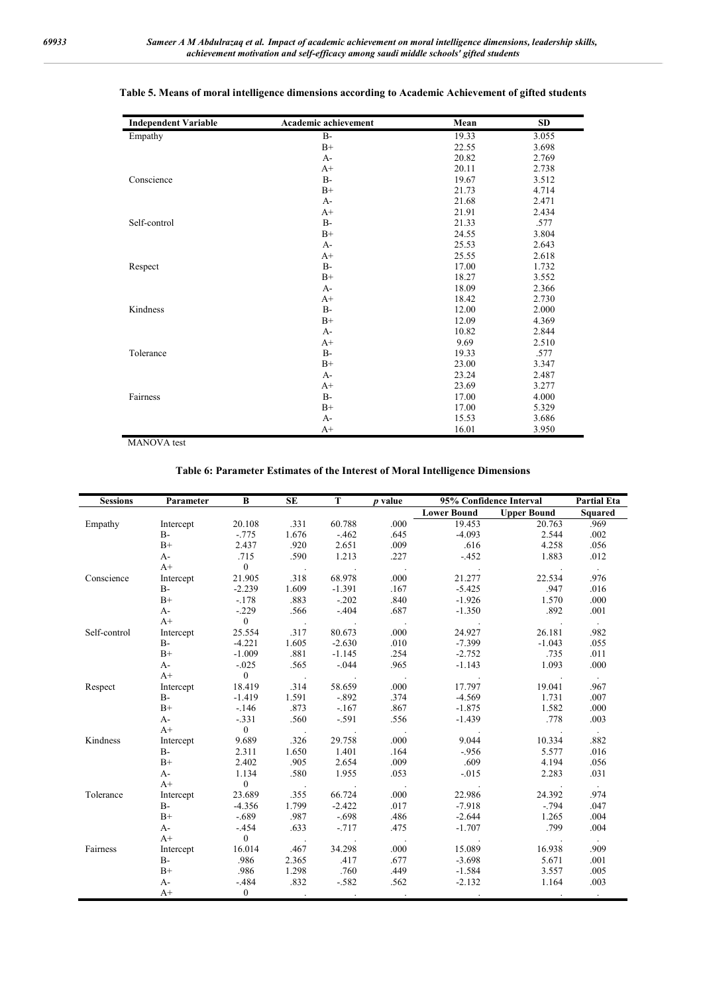| <b>Independent Variable</b> | Academic achievement | Mean  | <b>SD</b> |
|-----------------------------|----------------------|-------|-----------|
| Empathy                     | $B -$                | 19.33 | 3.055     |
|                             | $B+$                 | 22.55 | 3.698     |
|                             | $A-$                 | 20.82 | 2.769     |
|                             | $A+$                 | 20.11 | 2.738     |
| Conscience                  | $B-$                 | 19.67 | 3.512     |
|                             | $B+$                 | 21.73 | 4.714     |
|                             | $A-$                 | 21.68 | 2.471     |
|                             | $A+$                 | 21.91 | 2.434     |
| Self-control                | $B-$                 | 21.33 | .577      |
|                             | $B+$                 | 24.55 | 3.804     |
|                             | $A-$                 | 25.53 | 2.643     |
|                             | $A+$                 | 25.55 | 2.618     |
| Respect                     | $B-$                 | 17.00 | 1.732     |
|                             | $B+$                 | 18.27 | 3.552     |
|                             | $A-$                 | 18.09 | 2.366     |
|                             | $A+$                 | 18.42 | 2.730     |
| Kindness                    | $B -$                | 12.00 | 2.000     |
|                             | $B+$                 | 12.09 | 4.369     |
|                             | $A-$                 | 10.82 | 2.844     |
|                             | $A+$                 | 9.69  | 2.510     |
| Tolerance                   | $B -$                | 19.33 | .577      |
|                             | $B+$                 | 23.00 | 3.347     |
|                             | $A-$                 | 23.24 | 2.487     |
|                             | $A+$                 | 23.69 | 3.277     |
| Fairness                    | $B -$                | 17.00 | 4.000     |
|                             | $B+$                 | 17.00 | 5.329     |
|                             | $A-$                 | 15.53 | 3.686     |
|                             | $A+$                 | 16.01 | 3.950     |

#### **Table 5. Means of moral intelligence dimensions according to Academic Achievement of gifted students**

MANOVA test

#### **Table 6: Parameter Estimates of the Interest of Moral Intelligence Dimensions**

| <b>Sessions</b> | Parameter | B              | <b>SE</b>            | T                    | p value              | 95% Confidence Interval |                    | <b>Partial Eta</b>   |
|-----------------|-----------|----------------|----------------------|----------------------|----------------------|-------------------------|--------------------|----------------------|
|                 |           |                |                      |                      |                      | <b>Lower Bound</b>      | <b>Upper Bound</b> | Squared              |
| Empathy         | Intercept | 20.108         | .331                 | 60.788               | .000                 | 19.453                  | 20.763             | .969                 |
|                 | $B-$      | $-.775$        | 1.676                | $-462$               | .645                 | $-4.093$                | 2.544              | .002                 |
|                 | $B+$      | 2.437          | .920                 | 2.651                | .009                 | .616                    | 4.258              | .056                 |
|                 | $A-$      | .715           | .590                 | 1.213                | .227                 | $-452$                  | 1.883              | .012                 |
|                 | $A+$      | $\overline{0}$ | $\sim$ $\sim$        | $\ddot{\phantom{1}}$ |                      |                         |                    | $\sim$               |
| Conscience      | Intercept | 21.905         | .318                 | 68.978               | .000                 | 21.277                  | 22.534             | .976                 |
|                 | $B -$     | $-2.239$       | 1.609                | $-1.391$             | .167                 | $-5.425$                | .947               | .016                 |
|                 | $B+$      | $-.178$        | .883                 | $-.202$              | .840                 | $-1.926$                | 1.570              | .000                 |
|                 | $A-$      | $-.229$        | .566                 | $-.404$              | .687                 | $-1.350$                | .892               | .001                 |
|                 | $A+$      | $\overline{0}$ | $\sim$               |                      |                      |                         |                    | $\sim$               |
| Self-control    | Intercept | 25.554         | .317                 | 80.673               | .000                 | 24.927                  | 26.181             | .982                 |
|                 | $B -$     | $-4.221$       | 1.605                | $-2.630$             | .010                 | $-7.399$                | $-1.043$           | .055                 |
|                 | $B+$      | $-1.009$       | .881                 | $-1.145$             | .254                 | $-2.752$                | .735               | .011                 |
|                 | $A-$      | $-.025$        | .565                 | $-.044$              | .965                 | $-1.143$                | 1.093              | .000                 |
|                 | $A+$      | $\overline{0}$ | $\ddot{\phantom{1}}$ |                      |                      |                         |                    |                      |
| Respect         | Intercept | 18.419         | .314                 | 58.659               | .000                 | 17.797                  | 19.041             | .967                 |
|                 | $B-$      | $-1.419$       | 1.591                | $-.892$              | .374                 | $-4.569$                | 1.731              | .007                 |
|                 | $B+$      | $-.146$        | .873                 | $-.167$              | .867                 | $-1.875$                | 1.582              | .000                 |
|                 | $A-$      | $-.331$        | .560                 | $-.591$              | .556                 | $-1.439$                | .778               | .003                 |
|                 | $A+$      | $\overline{0}$ | $\sim$               |                      |                      |                         |                    | $\ddot{\phantom{0}}$ |
| Kindness        | Intercept | 9.689          | .326                 | 29.758               | .000                 | 9.044                   | 10.334             | .882                 |
|                 | $B-$      | 2.311          | 1.650                | 1.401                | .164                 | $-956$                  | 5.577              | .016                 |
|                 | $B+$      | 2.402          | .905                 | 2.654                | .009                 | .609                    | 4.194              | .056                 |
|                 | $A-$      | 1.134          | .580                 | 1.955                | .053                 | $-.015$                 | 2.283              | .031                 |
|                 | $A+$      | $\overline{0}$ | $\ddot{\phantom{a}}$ |                      |                      |                         |                    | $\sim$               |
| Tolerance       | Intercept | 23.689         | .355                 | 66.724               | .000                 | 22.986                  | 24.392             | .974                 |
|                 | $B -$     | $-4.356$       | 1.799                | $-2.422$             | .017                 | $-7.918$                | $-.794$            | .047                 |
|                 | $B+$      | $-.689$        | .987                 | $-.698$              | .486                 | $-2.644$                | 1.265              | .004                 |
|                 | $A-$      | $-.454$        | .633                 | $-717$               | .475                 | $-1.707$                | .799               | .004                 |
|                 | $A+$      | $\overline{0}$ | $\ddot{\phantom{a}}$ |                      | $\ddot{\phantom{0}}$ |                         |                    | $\sim$               |
| Fairness        | Intercept | 16.014         | .467                 | 34.298               | .000                 | 15.089                  | 16.938             | .909                 |
|                 | $B-$      | .986           | 2.365                | .417                 | .677                 | $-3.698$                | 5.671              | .001                 |
|                 | $B+$      | .986           | 1.298                | .760                 | .449                 | $-1.584$                | 3.557              | .005                 |
|                 | $A-$      | $-.484$        | .832                 | $-.582$              | .562                 | $-2.132$                | 1.164              | .003                 |
|                 | $A+$      | $\overline{0}$ |                      | $\blacksquare$       |                      |                         |                    | $\ddot{\phantom{0}}$ |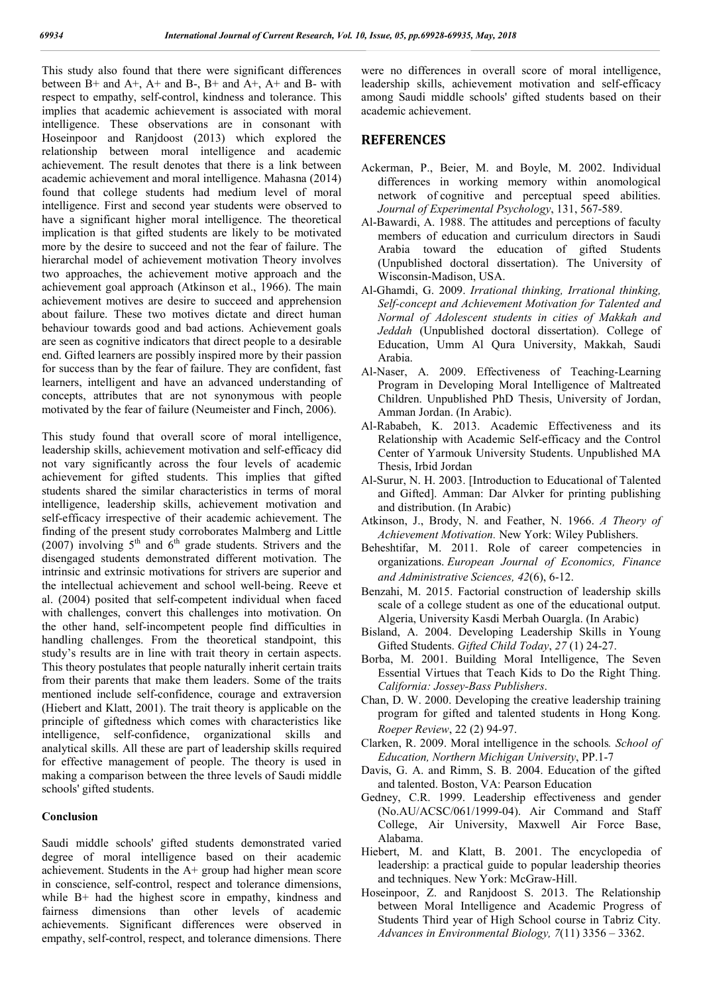This study also found that there were significant differences between  $B+$  and  $A+$ ,  $A+$  and  $B-$ ,  $B+$  and  $A+$ ,  $A+$  and  $B-$  with respect to empathy, self-control, kindness and tolerance. This implies that academic achievement is associated with moral intelligence. These observations are in consonant with Hoseinpoor and Ranjdoost (2013) which explored the relationship between moral intelligence and academic achievement. The result denotes that there is a link between academic achievement and moral intelligence. Mahasna (2014) found that college students had medium level of moral intelligence. First and second year students were observed to have a significant higher moral intelligence. The theoretical implication is that gifted students are likely to be motivated more by the desire to succeed and not the fear of failure. The hierarchal model of achievement motivation Theory involves two approaches, the achievement motive approach and the achievement goal approach (Atkinson et al., 1966). The main achievement motives are desire to succeed and apprehension about failure. These two motives dictate and direct human behaviour towards good and bad actions. Achievement goals are seen as cognitive indicators that direct people to a desirable end. Gifted learners are possibly inspired more by their passion for success than by the fear of failure. They are confident, fast learners, intelligent and have an advanced understanding of concepts, attributes that are not synonymous with people motivated by the fear of failure (Neumeister and Finch, 2006).

This study found that overall score of moral intelligence, leadership skills, achievement motivation and self-efficacy did not vary significantly across the four levels of academic achievement for gifted students. This implies that gifted students shared the similar characteristics in terms of moral intelligence, leadership skills, achievement motivation and self-efficacy irrespective of their academic achievement. The finding of the present study corroborates Malmberg and Little (2007) involving  $5<sup>th</sup>$  and  $6<sup>th</sup>$  grade students. Strivers and the disengaged students demonstrated different motivation. The intrinsic and extrinsic motivations for strivers are superior and the intellectual achievement and school well-being. Reeve et al. (2004) posited that self-competent individual when faced with challenges, convert this challenges into motivation. On the other hand, self-incompetent people find difficulties in handling challenges. From the theoretical standpoint, this study's results are in line with trait theory in certain aspects. This theory postulates that people naturally inherit certain traits from their parents that make them leaders. Some of the traits mentioned include self-confidence, courage and extraversion (Hiebert and Klatt, 2001). The trait theory is applicable on the principle of giftedness which comes with characteristics like intelligence, self-confidence, organizational skills and analytical skills. All these are part of leadership skills required for effective management of people. The theory is used in making a comparison between the three levels of Saudi middle schools' gifted students.

#### **Conclusion**

Saudi middle schools' gifted students demonstrated varied degree of moral intelligence based on their academic achievement. Students in the A+ group had higher mean score in conscience, self-control, respect and tolerance dimensions, while B+ had the highest score in empathy, kindness and fairness dimensions than other levels of academic achievements. Significant differences were observed in empathy, self-control, respect, and tolerance dimensions. There

were no differences in overall score of moral intelligence, leadership skills, achievement motivation and self-efficacy among Saudi middle schools' gifted students based on their academic achievement.

#### **REFERENCES**

- Ackerman, P., Beier, M. and Boyle, M. 2002. Individual differences in working memory within anomological network of cognitive and perceptual speed abilities. *Journal of Experimental Psychology*, 131, 567-589.
- Al-Bawardi, A. 1988. The attitudes and perceptions of faculty members of education and curriculum directors in Saudi Arabia toward the education of gifted Students (Unpublished doctoral dissertation). The University of Wisconsin-Madison, USA.
- Al-Ghamdi, G. 2009. *Irrational thinking, Irrational thinking, Self-concept and Achievement Motivation for Talented and Normal of Adolescent students in cities of Makkah and Jeddah* (Unpublished doctoral dissertation). College of Education, Umm Al Qura University, Makkah, Saudi Arabia.
- Al-Naser, A. 2009. Effectiveness of Teaching-Learning Program in Developing Moral Intelligence of Maltreated Children. Unpublished PhD Thesis, University of Jordan, Amman Jordan. (In Arabic).
- Al-Rababeh, K. 2013. Academic Effectiveness and its Relationship with Academic Self-efficacy and the Control Center of Yarmouk University Students. Unpublished MA Thesis, Irbid Jordan
- Al-Surur, N. H. 2003. [Introduction to Educational of Talented and Gifted]. Amman: Dar Alvker for printing publishing and distribution. (In Arabic)
- Atkinson, J., Brody, N. and Feather, N. 1966. *A Theory of Achievement Motivation.* New York: Wiley Publishers.
- Beheshtifar, M. 2011. Role of career competencies in organizations. *European Journal of Economics, Finance and Administrative Sciences, 42*(6), 6-12.
- Benzahi, M. 2015. Factorial construction of leadership skills scale of a college student as one of the educational output. Algeria, University Kasdi Merbah Ouargla. (In Arabic)
- Bisland, A. 2004. Developing Leadership Skills in Young Gifted Students. *Gifted Child Today*, *27* (1) 24-27.
- Borba, M. 2001. Building Moral Intelligence, The Seven Essential Virtues that Teach Kids to Do the Right Thing. *California: Jossey-Bass Publishers*.
- Chan, D. W. 2000. Developing the creative leadership training program for gifted and talented students in Hong Kong. *Roeper Review*, 22 (2) 94-97.
- Clarken, R. 2009. Moral intelligence in the schools*. School of Education, Northern Michigan University*, PP.1-7
- Davis, G. A. and Rimm, S. B. 2004. Education of the gifted and talented. Boston, VA: Pearson Education
- Gedney, C.R. 1999. Leadership effectiveness and gender (No.AU/ACSC/061/1999-04). Air Command and Staff College, Air University, Maxwell Air Force Base, Alabama.
- Hiebert, M. and Klatt, B. 2001. The encyclopedia of leadership: a practical guide to popular leadership theories and techniques. New York: McGraw-Hill.
- Hoseinpoor, Z. and Ranjdoost S. 2013. The Relationship between Moral Intelligence and Academic Progress of Students Third year of High School course in Tabriz City. *Advances in Environmental Biology, 7*(11) 3356 – 3362.